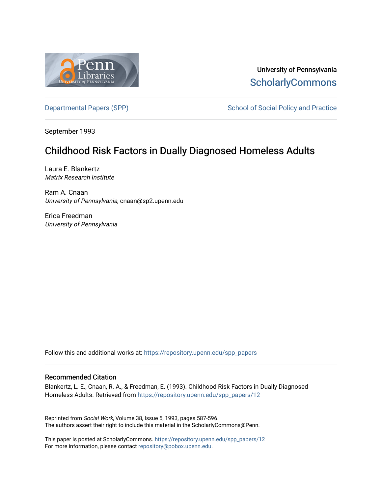

University of Pennsylvania **ScholarlyCommons** 

[Departmental Papers \(SPP\)](https://repository.upenn.edu/spp_papers) School of Social Policy and Practice

September 1993

# Childhood Risk Factors in Dually Diagnosed Homeless Adults

Laura E. Blankertz Matrix Research Institute

Ram A. Cnaan University of Pennsylvania, cnaan@sp2.upenn.edu

Erica Freedman University of Pennsylvania

Follow this and additional works at: [https://repository.upenn.edu/spp\\_papers](https://repository.upenn.edu/spp_papers?utm_source=repository.upenn.edu%2Fspp_papers%2F12&utm_medium=PDF&utm_campaign=PDFCoverPages) 

## Recommended Citation

Blankertz, L. E., Cnaan, R. A., & Freedman, E. (1993). Childhood Risk Factors in Dually Diagnosed Homeless Adults. Retrieved from [https://repository.upenn.edu/spp\\_papers/12](https://repository.upenn.edu/spp_papers/12?utm_source=repository.upenn.edu%2Fspp_papers%2F12&utm_medium=PDF&utm_campaign=PDFCoverPages)

Reprinted from Social Work, Volume 38, Issue 5, 1993, pages 587-596. The authors assert their right to include this material in the ScholarlyCommons@Penn.

This paper is posted at ScholarlyCommons. [https://repository.upenn.edu/spp\\_papers/12](https://repository.upenn.edu/spp_papers/12)  For more information, please contact [repository@pobox.upenn.edu.](mailto:repository@pobox.upenn.edu)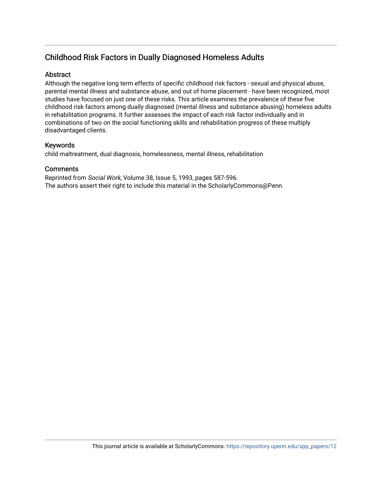# Childhood Risk Factors in Dually Diagnosed Homeless Adults

# **Abstract**

Although the negative long term effects of specific childhood risk factors - sexual and physical abuse, parental mental illness and substance abuse, and out of home placement - have been recognized, most studies have focused on just one of these risks. This article examines the prevalence of these five childhood risk factors among dually diagnosed (mental illness and substance abusing) homeless adults in rehabilitation programs. It further assesses the impact of each risk factor individually and in combinations of two on the social functioning skills and rehabilitation progress of these multiply disadvantaged clients.

# Keywords

child maltreatment, dual diagnosis, homelessness, mental illness, rehabilitation

# **Comments**

Reprinted from Social Work, Volume 38, Issue 5, 1993, pages 587-596. The authors assert their right to include this material in the ScholarlyCommons@Penn.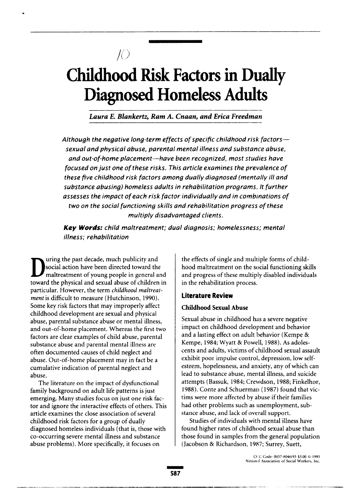# **Childhood Risk Factors in Dually Diagnosed Homeless Adults**

 $f()$ 

Laura E. Blankertz, Ram A. Cnaan, and Erica Freedman

Although the negative long-term effects of specific childhood risk factors sexual and physical abuse, parental mental illness and substance abuse. and out-of-home placement-have been recoanized, most studies have focused on just one of these risks. This article examines the prevalence of these five childhood risk factors among dually diagnosed (mentally ill and substance abusina) homeless adults in rehabilitation programs. It further assesses the impact of each risk factor individually and in combinations of two on the social functioning skills and rehabilitation progress of these multiply disadvantaged clients.

**Key Words:** child maltreatment: dual diagnosis: homelessness: mental illness: rehabilitation

uring the past decade, much publicity and social action have been directed toward the maltreatment of young people in general and toward the physical and sexual abuse of children in particular. However, the term childhood maltreatment is difficult to measure (Hutchinson, 1990). Some key risk factors that may improperly affect childhood development are sexual and physical abuse, parental substance abuse or mental illness, and out-of-home placement. Whereas the first two factors are clear examples of child abuse, parental substance abuse and parental mental illness are often documented causes of child neglect and abuse. Out-of-home placement may in fact be a cumulative indication of parental neglect and abuse.

The literature on the impact of dysfunctional family background on adult life patterns is just emerging. Many studies focus on just one risk factor and ignore the interactive effects of others. This article examines the close association of several childhood risk factors for a group of dually diagnosed homeless individuals (that is, those with co-occurring severe mental illness and substance abuse problems). More specifically, it focuses on

the effects of single and multiple forms of childhood maltreatment on the social functioning skills and progress of these multiply disabled individuals in the rehabilitation process.

#### **Literature Review**

#### **Childhood Sexual Abuse**

Sexual abuse in childhood has a severe negative impact on childhood development and behavior and a lasting effect on adult behavior (Kempe & Kempe, 1984; Wyatt & Powell, 1988). As adolescents and adults, victims of childhood sexual assault exhibit poor impulse control, depression, low selfesteem, hopelessness, and anxiety, any of which can lead to substance abuse, mental illness, and suicide attempts (Bassuk, 1984; Crewdson, 1988; Finkelhor, 1988). Conte and Schuerman (1987) found that victims were more affected by abuse if their families had other problems such as unemployment, substance abuse, and lack of overall support.

Studies of individuals with mental illness have found higher rates of childhood sexual abuse than those found in samples from the general population (Jacobson & Richardson, 1987; Surrey, Suett,

> CCC Code: 0037-8046/93.53.00.0.1993 National Association of Social Workers, Inc.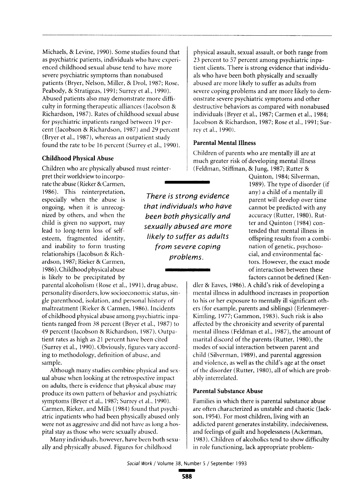Michaels, & Levine, 1990). Some studies found that as psychiatric patients, individuals who have experienced childhood sexual abuse tend to have more severe psychiatric symptoms than nonabused patients (Bryer, Nelson, Miller, & Drol, 1987; Rose, Peabody, & Stratigeas, 1991; Surrey et al., 1990). Abused patients also may demonstrate more difficulty in forming therapeutic alliances (Jacobson & Richardson, 1987). Rates of childhood sexual abuse for psychiatric inpatients ranged between 19 percent (Jacobson & Richardson, 1987) and 29 percent (Bryer et al., 1987), whereas an outpatient study found the rate to be 16 percent (Surrey et al., 1990).

#### **Childhood Physical Abuse**

Children who are physically abused must reinter-

pret their worldview to incorporate the abuse (Rieker & Carmen. 1986). This reinterpretation, especially when the abuse is ongoing, when it is unrecognized by others, and when the child is given no support, may lead to long-term loss of selfesteem, fragmented identity, and inability to form trusting relationships (Jacobson & Richardson, 1987; Rieker & Carmen, 1986). Childhood physical abuse is likely to be precipitated by

parental alcoholism (Rose et al., 1991), drug abuse, personality disorders, low socioeconomic status, single parenthood, isolation, and personal history of maltreatment (Rieker & Carmen, 1986). Incidents of childhood physical abuse among psychiatric inpatients ranged from 38 percent (Bryer et al., 1987) to 49 percent (Jacobson & Richardson, 1987). Outpatient rates as high as 21 percent have been cited (Surrey et al., 1990). Obviously, figures vary according to methodology, definition of abuse, and sample.

Although many studies combine physical and sexual abuse when looking at the retrospective impact on adults, there is evidence that physical abuse may produce its own pattern of behavior and psychiatric symptoms (Bryer et al., 1987; Surrey et al., 1990). Carmen, Rieker, and Mills (1984) found that psychiatric inpatients who had been physically abused only were not as aggressive and did not have as long a hospital stay as those who were sexually abused.

Many individuals, however, have been both sexually and physically abused. Figures for childhood

physical assault, sexual assault, or both range from 23 percent to 57 percent among psychiatric inpatient clients. There is strong evidence that individuals who have been both physically and sexually abused are more likely to suffer as adults from severe coping problems and are more likely to demonstrate severe psychiatric symptoms and other destructive behaviors as compared with nonabused individuals (Brver et al., 1987; Carmen et al., 1984; Jacobson & Richardson, 1987; Rose et al., 1991: Surrev et al., 1990).

#### **Parental Mental Illness**

Children of parents who are mentally ill are at much greater risk of developing mental illness (Feldman, Stiffman, & Jung, 1987; Rutter &

There is strong evidence that individuals who have been both physically and sexually abused are more likely to suffer as adults from severe coping problems.

Quinton, 1984; Silverman, 1989). The type of disorder (if any) a child of a mentally ill parent will develop over time cannot be predicted with any accuracy (Rutter, 1980). Rutter and Ouinton (1984) contended that mental illness in offspring results from a combination of genetic, psychosocial, and environmental factors. However, the exact mode of interaction between these factors cannot be defined (Ken-

dler & Eaves, 1986). A child's risk of developing a mental illness in adulthood increases in proportion to his or her exposure to mentally ill significant others (for example, parents and siblings) (Erlenmeyer-Kimling, 1977; Gammon, 1983). Such risk is also affected by the chronicity and severity of parental mental illness (Feldman et al., 1987), the amount of marital discord of the parents (Rutter, 1980), the modes of social interaction between parent and child (Silverman, 1989), and parental aggression and violence, as well as the child's age at the onset of the disorder (Rutter, 1980), all of which are probably interrelated.

#### **Parental Substance Abuse**

Families in which there is parental substance abuse are often characterized as unstable and chaotic (Jackson, 1954). For most children, living with an addicted parent generates instability, indecisiveness, and feelings of guilt and hopelessness (Ackerman, 1983). Children of alcoholics tend to show difficulty in role functioning, lack appropriate problem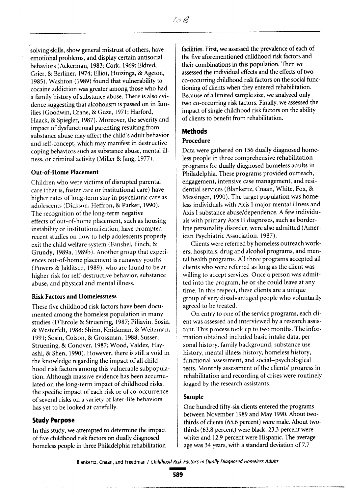solving skills, show general mistrust of others, have emotional problems, and display certain antisocial behaviors (Ackerman, 1983; Cork, 1969; Eldred, Grier, & Berliner, 1974; Elliot, Huizinga, & Ageton, 1985). Washton (1989) found that vulnerability to cocaine addiction was greater among those who had a family history of substance abuse. There is also evidence suggesting that alcoholism is passed on in families (Goodwin, Crane, & Guze, 1971; Harford, Haack, & Spiegler, 1987). Moreover, the severity and impact of dysfunctional parenting resulting from substance abuse may affect the child's adult behavior and self-concept, which may manifest in destructive coping behaviors such as substance abuse, mental illness, or criminal activity (Miller & Jang, 1977).

#### Out-of-Home Placement

Children who were victims of disrupted parental care (that is, foster care or institutional care) have higher rates of long-term stay in psychiatric care as adolescents (Dickson, Heffron, & Parker, 1990). The recognition of the long-term negative effects of out-of-home placement, such as housing instability or institutionalization, have prompted recent studies on how to help adolescents properly exit the child welfare system (Fanshel, Finch, & Grundy, 1989a, 1989b). Another group that experiences out-of-home placement is runaway youths (Powers & Jaklitsch, 1989), who are found to be at higher risk for self-destructive behavior, substance abuse, and physical and mental illness.

#### **Risk Factors and Homelessness**

These five childhood risk factors have been documented among the homeless population in many studies (D'Ercole & Struening, 1987; Piliavin, Sosin, & Westerfelt, 1988; Shinn, Knickman, & Weitzman, 1991; Sosin, Colson, & Grossman, 1988; Susser, Struening, & Conover, 1987; Wood, Valdez, Hayashi, & Shen, 1990). However, there is still a void in the knowledge regarding the impact of all childhood risk factors among this vulnerable subpopulation. Although massive evidence has been accumulated on the long-term impact of childhood risks, the specific impact of each risk or of co-occurrence of several risks on a variety of later-life behaviors has yet to be looked at carefully.

#### **Study Purpose**

In this study, we attempted to determine the impact of five childhood risk factors on dually diagnosed homeless people in three Philadelphia rehabilitation facilities. First, we assessed the prevalence of each of the five aforementioned childhood risk factors and their combinations in this population. Then we assessed the individual effects and the effects of two co-occurring childhood risk factors on the social functioning of clients when they entered rehabilitation. Because of a limited sample size, we analyzed only two co-occurring risk factors. Finally, we assessed the impact of single childhood risk factors on the ability of clients to benefit from rehabilitation.

#### **Methods**

#### Procedure

Data were gathered on 156 dually diagnosed homeless people in three comprehensive rehabilitation programs for dually diagnosed homeless adults in Philadelphia. These programs provided outreach, engagement, intensive case management, and residential services (Blankertz, Cnaan, White, Fox, & Messinger, 1990). The target population was homeless individuals with Axis I major mental illness and Axis I substance abuse/dependence. A few individuals with primary Axis II diagnoses, such as borderline personality disorder, were also admitted (American Psychiatric Association, 1987).

Clients were referred by homeless outreach workers, hospitals, drug and alcohol programs, and mental health programs. All three programs accepted all clients who were referred as long as the client was willing to accept services. Once a person was admitted into the program, he or she could leave at any time. In this respect, these clients are a unique group of very disadvantaged people who voluntarily agreed to be treated.

On entry to one of the service programs, each client was assessed and interviewed by a research assistant. This process took up to two months. The information obtained included basic intake data, personal history, family background, substance use history, mental illness history, homeless history, functional assessment, and social-psychological tests. Monthly assessment of the clients' progress in rehabilitation and recording of crises were routinely logged by the research assistants.

#### Sample

One hundred fifty-six clients entered the programs between November 1989 and May 1990. About twothirds of clients (65.6 percent) were male. About twothirds (63.8 percent) were black; 23.3 percent were white; and 12.9 percent were Hispanic. The average age was 34 years, with a standard deviation of 7.7

Blankertz, Cnaan, and Freedman / Childhood Risk Factors in Dually Diagnosed Homeless Adults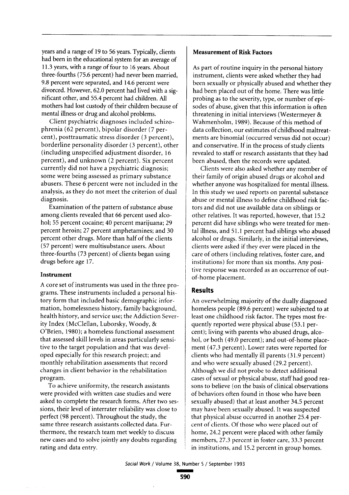years and a range of 19 to 56 years. Typically, clients had been in the educational system for an average of 11.3 years, with a range of four to 16 years. About three-fourths (75.6 percent) had never been married, 9.8 percent were separated, and 14.6 percent were divorced. However, 62.0 percent had lived with a significant other, and 55.4 percent had children. All mothers had lost custody of their children because of mental illness or drug and alcohol problems.

Client psychiatric diagnoses included schizophrenia (62 percent), bipolar disorder (7 percent), posttraumatic stress disorder (3 percent), borderline personality disorder (3 percent), other (including unspecified adjustment disorder, 16 percent), and unknown (2 percent). Six percent currently did not have a psychiatric diagnosis: some were being assessed as primary substance abusers. These 6 percent were not included in the analysis, as they do not meet the criterion of dual diagnosis.

Examination of the pattern of substance abuse among clients revealed that 66 percent used alcohol; 55 percent cocaine; 40 percent marijuana; 29 percent heroin; 27 percent amphetamines; and 30 percent other drugs. More than half of the clients (57 percent) were multisubstance users. About three-fourths (73 percent) of clients began using drugs before age 17.

#### Instrument

A core set of instruments was used in the three programs. These instruments included a personal history form that included basic demographic information, homelessness history, family background, health history, and service use; the Addiction Severity Index (McClellan, Luborsky, Woody, & O'Brien, 1980); a homeless functional assessment that assessed skill levels in areas particularly sensitive to the target population and that was developed especially for this research project; and monthly rehabilitation assessments that record changes in client behavior in the rehabilitation program.

To achieve uniformity, the research assistants were provided with written case studies and were asked to complete the research forms. After two sessions, their level of interrater reliability was close to perfect (98 percent). Throughout the study, the same three research assistants collected data. Furthermore, the research team met weekly to discuss new cases and to solve jointly any doubts regarding rating and data entry.

#### **Measurement of Risk Factors**

As part of routine inquiry in the personal history instrument, clients were asked whether they had been sexually or physically abused and whether they had been placed out of the home. There was little probing as to the severity, type, or number of episodes of abuse, given that this information is often threatening in initial interviews (Westermever & Wahmenholm, 1989). Because of this method of data collection, our estimates of childhood maltreatments are binomial (occurred versus did not occur) and conservative. If in the process of study clients revealed to staff or research assistants that they had been abused, then the records were updated.

Clients were also asked whether any member of their family of origin abused drugs or alcohol and whether anyone was hospitalized for mental illness. In this study we used reports on parental substance abuse or mental illness to define childhood risk factors and did not use available data on siblings or other relatives. It was reported, however, that 15.2 percent did have siblings who were treated for mental illness, and 51.1 percent had siblings who abused alcohol or drugs. Similarly, in the initial interviews, clients were asked if they ever were placed in the care of others (including relatives, foster care, and institutions) for more than six months. Any positive response was recorded as an occurrence of outof-home placement.

#### **Results**

An overwhelming majority of the dually diagnosed homeless people (89.6 percent) were subjected to at least one childhood risk factor. The types most frequently reported were physical abuse (53.1 percent); living with parents who abused drugs, alcohol, or both (49.0 percent); and out-of-home placement (47.3 percent). Lower rates were reported for clients who had mentally ill parents (31.9 percent) and who were sexually abused (29.2 percent). Although we did not probe to detect additional cases of sexual or physical abuse, staff had good reasons to believe (on the basis of clinical observations of behaviors often found in those who have been sexually abused) that at least another 34.5 percent mav have been sexually abused. It was suspected that physical abuse occurred in another 25.4 percent of clients. Of those who were placed out of home, 24.2 percent were placed with other family members, 27.3 percent in foster care, 33.3 percent in institutions, and 15.2 percent in group homes.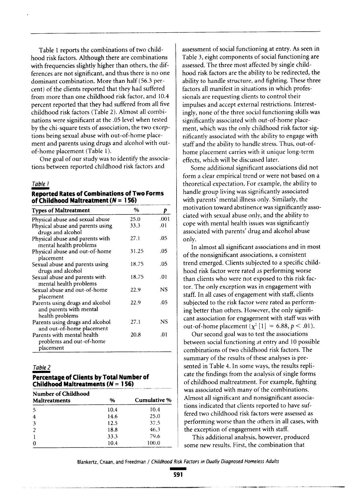Table 1 reports the combinations of two childhood risk factors. Although there are combinations with frequencies slightly higher than others, the differences are not significant, and thus there is no one dominant combination. More than half (56.3 percent) of the clients reported that they had suffered from more than one childhood risk factor, and 10.4 percent reported that they had suffered from all five childhood risk factors (Table 2). Almost all combinations were significant at the .05 level when tested by the chi-square tests of association, the two exceptions being sexual abuse with out-of-home placement and parents using drugs and alcohol with outof-home placement (Table 1).

One goal of our study was to identify the associations between reported childhood risk factors and

#### Table 1

**Reported Rates of Combinations of Two Forms** of Childhood Maltreatment ( $N = 156$ )

| <b>Types of Maltreatment</b>                                                  | $\%$  | р    |
|-------------------------------------------------------------------------------|-------|------|
| Physical abuse and sexual abuse                                               | 25.0  | .001 |
| Physical abuse and parents using<br>drugs and alcohol                         | 33.3  | .01  |
| Physical abuse and parents with<br>mental health problems                     | 27.1  | .05  |
| Physical abuse and out-of-home<br>placement                                   | 31.25 | .05  |
| Sexual abuse and parents using<br>drugs and alcohol                           | 18.75 | .05  |
| Sexual abuse and parents with<br>mental health problems                       | 18.75 | .01  |
| Sexual abuse and out-of-home<br>placement                                     | 22.9  | NS   |
| Parents using drugs and alcohol<br>and parents with mental<br>health problems | 22.9  | .05  |
| Parents using drugs and alcohol<br>and out-of-home placement                  | 27.1  | NS   |
| Parents with mental health<br>problems and out-of-home<br>placement           | 20.8  | .01  |

#### Table 2

#### Percentage of Clients by Total Number of Childhood Maltreatments ( $N = 156$ )

| <b>Number of Childhood</b><br>Maltreatments | %    | Cumulative % |  |  |
|---------------------------------------------|------|--------------|--|--|
| 5                                           | 10.4 | 10.4         |  |  |
| $\overline{4}$                              | 14.6 | 25.0         |  |  |
| 3                                           | 12.5 | 37.5         |  |  |
| $\overline{2}$                              | 18.8 | 46.3         |  |  |
|                                             | 33.3 | 79.6         |  |  |
| 0                                           | 10.4 | 100.0        |  |  |

assessment of social functioning at entry. As seen in Table 3, eight components of social functioning are assessed. The three most affected by single childhood risk factors are the ability to be redirected, the ability to handle structure, and fighting. These three factors all manifest in situations in which professionals are requesting clients to control their impulses and accept external restrictions. Interestingly, none of the three social functioning skills was significantly associated with out-of-home placement, which was the only childhood risk factor significantly associated with the ability to engage with staff and the ability to handle stress. Thus, out-ofhome placement carries with it unique long-term effects, which will be discussed later.

Some additional significant associations did not form a clear empirical trend or were not based on a theoretical expectation. For example, the ability to handle group living was significantly associated with parents' mental illness only. Similarly, the motivation toward abstinence was significantly associated with sexual abuse only, and the ability to cope with mental health issues was significantly associated with parents' drug and alcohol abuse only.

In almost all significant associations and in most of the nonsignificant associations, a consistent trend emerged. Clients subjected to a specific childhood risk factor were rated as performing worse than clients who were not exposed to this risk factor. The only exception was in engagement with staff. In all cases of engagement with staff, clients subjected to the risk factor were rated as performing better than others. However, the only significant association for engagement with staff was with out-of-home placement ( $\chi^2$  [1] = 6.88,  $p < .01$ ).

Our second goal was to test the associations between social functioning at entry and 10 possible combinations of two childhood risk factors. The summary of the results of these analyses is presented in Table 4. In some ways, the results replicate the findings from the analysis of single forms of childhood maltreatment. For example, fighting was associated with many of the combinations. Almost all significant and nonsignificant associations indicated that clients reported to have suffered two childhood risk factors were assessed as performing worse than the others in all cases, with the exception of engagement with staff.

This additional analysis, however, produced some new results. First, the combination that

Blankertz, Cnaan, and Freedman / Childhood Risk Factors in Dually Diagnosed Homeless Adults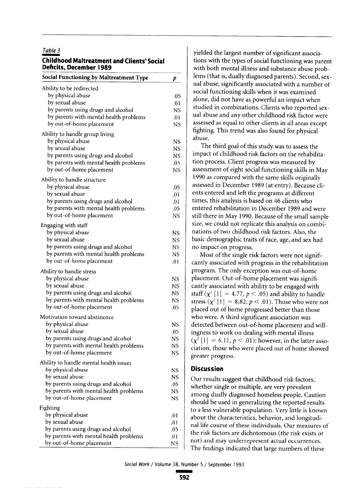#### Table 3

#### **Childhood Maltreatment and Clients' Social Deficits. December 1989**

| Social Functioning by Maltreatment Type                                      | p         |
|------------------------------------------------------------------------------|-----------|
| Ability to be redirected                                                     |           |
| by physical abuse                                                            | .05       |
| by sexual abuse                                                              | .01       |
| by parents using drugs and alcohol                                           | NS        |
| by parents with mental health problems                                       | .01       |
| by out-of-home placement                                                     | NS.       |
| Ability to handle group living                                               |           |
| by physical abuse                                                            | NS        |
| by sexual abuse                                                              | NS.       |
| by parents using drugs and alcohol                                           | NS.       |
| by parents with mental health problems                                       | .05       |
| by out-of-home placement                                                     | NS        |
| Ability to handle structure                                                  |           |
| by physical abuse                                                            | .05       |
| by sexual abuse                                                              | .01       |
| by parents using drugs and alcohol                                           | .01       |
| by parents with mental health problems                                       | .05       |
| by out-of-home placement                                                     | NS        |
| Engaging with staff                                                          |           |
| by physical abuse                                                            | <b>NS</b> |
| by sexual abuse                                                              | NS        |
| by parents using drugs and alcohol                                           | NS        |
| by parents with mental health problems                                       | NS        |
| by out-of-home placement                                                     | .01       |
| Ability to handle stress                                                     |           |
| by physical abuse                                                            | NS        |
| by sexual abuse                                                              | NS        |
| by parents using drugs and alcohol                                           | NS        |
| by parents with mental health problems                                       | NS        |
| by out-of-home placement                                                     | .05       |
| Motivation toward abstinence                                                 |           |
| by physical abuse                                                            | NS        |
| by sexual abuse                                                              | .05       |
| by parents using drugs and alcohol<br>by parents with mental health problems | <b>NS</b> |
| by out-of-home placement                                                     | NS<br>NS  |
|                                                                              |           |
| Ability to handle mental health issues                                       |           |
| by physical abuse<br>by sexual abuse                                         | NS        |
| by parents using drugs and alcohol                                           | NS        |
| by parents with mental health problems                                       | .05<br>NS |
| by out-of-home placement                                                     | NS        |
| Fighting                                                                     |           |
| by physical abuse                                                            | .01       |
| by sexual abuse                                                              | .01       |
| by parents using drugs and alcohol                                           | .05       |
| by parents with mental health problems                                       | .01       |
| by out-of-home placement                                                     | NS        |

yielded the largest number of significant associations with the types of social functioning was parent with both mental illness and substance abuse problems (that is, dually diagnosed parents). Second, sexual abuse, significantly associated with a number of social functioning skills when it was examined alone, did not have as powerful an impact when studied in combinations. Clients who reported sexual abuse and any other childhood risk factor were assessed as equal to other clients in all areas except fighting. This trend was also found for physical abuse.

The third goal of this study was to assess the impact of childhood risk factors on the rehabilitation process. Client progress was measured by assessment of eight social functioning skills in May 1990 as compared with the same skills originally assessed in December 1989 (at entry). Because clients entered and left the programs at different times, this analysis is based on 46 clients who entered rehabilitation in December 1989 and were still there in May 1990. Because of the small sample size, we could not replicate this analysis on combinations of two childhood risk factors. Also, the basic demographic traits of race, age, and sex had no impact on progress.

Most of the single risk factors were not significantly associated with progress in the rehabilitation program. The only exception was out-of-home placement. Out-of-home placement was significantly associated with ability to be engaged with staff  $(\chi^2$  [1] = 4.77,  $p < .05$ ) and ability to handle stress  $(\chi^2 [1] = 8.82, p < .01)$ . Those who were not placed out of home progressed better than those who were. A third significant association was detected between out-of-home placement and willingness to work on dealing with mental illness  $(\chi^2 [1] = 6.11, p < .01)$ ; however, in the latter association, those who were placed out of home showed greater progress.

## **Discussion**

Our results suggest that childhood risk factors, whether single or multiple, are very prevalent among dually diagnosed homeless people. Caution should be used in generalizing the reported results to a less vulnerable population. Very little is known about the characteristics, behavior, and longitudinal life course of these individuals. Our measures of the risk factors are dichotomous (the risk exists or not) and may underrepresent actual occurrences. The findings indicated that large numbers of these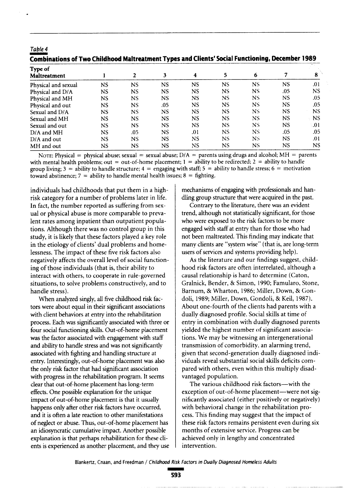| Combinations of Two Childhood Maltreatment Types and Clients' Social Functioning, December 1989 |           |              |           |           |           |                |           |     |
|-------------------------------------------------------------------------------------------------|-----------|--------------|-----------|-----------|-----------|----------------|-----------|-----|
| Type of<br><b>Maltreatment</b>                                                                  |           | $\mathbf{2}$ | 3         | 4         | 5         | 6              | 7         | 8   |
| Physical and sexual                                                                             | <b>NS</b> | <b>NS</b>    | NS        | <b>NS</b> | NS        | N <sub>S</sub> | NS        | .01 |
| Physical and D/A                                                                                | <b>NS</b> | <b>NS</b>    | <b>NS</b> | NS        | <b>NS</b> | N5             | .05       | NS. |
| Physical and MH                                                                                 | NS        | NS           | <b>NS</b> | NS        | <b>NS</b> | N5             | <b>NS</b> | .05 |
| Physical and out                                                                                | NS        | <b>NS</b>    | .05       | NS        | <b>NS</b> | NS.            | NS        | .05 |
| Sexual and D/A                                                                                  | <b>NS</b> | NS.          | NS        | NS        | <b>NS</b> | NS             | <b>NS</b> | NS. |
| Sexual and MH                                                                                   | NS        | <b>NS</b>    | NS.       | NS        | <b>NS</b> | NS             | NS.       | NS. |
| Sexual and out                                                                                  | <b>NS</b> | <b>NS</b>    | <b>NS</b> | NS        | NS.       | NS.            | <b>NS</b> | .01 |
| D/A and MH                                                                                      | <b>NS</b> | .05          | NS        | .01       | NS.       | NS             | .05       | .05 |
| $D/A$ and out                                                                                   | NS        | NS           | NS        | NS        | NS.       | NS.            | NS.       | .01 |
| MH and out                                                                                      | NS        | NS           | NS        | NS        | <b>NS</b> | NS             | <b>NS</b> | NS. |

NOTE: Physical = physical abuse; sexual = sexual abuse;  $D/A$  = parents using drugs and alcohol; MH = parents with mental health problems; out = out-of-home placement;  $1 =$  ability to be redirected;  $2 =$  ability to handle group living;  $3 =$  ability to handle structure;  $4 =$  engaging with staff;  $5 =$  ability to handle stress;  $6 =$  motivation toward abstinence;  $7 =$  ability to handle mental health issues;  $8 =$  fighting.

individuals had childhoods that put them in a highrisk category for a number of problems later in life. In fact, the number reported as suffering from sexual or physical abuse is more comparable to prevalent rates among inpatient than outpatient populations. Although there was no control group in this study, it is likely that these factors played a key role in the etiology of clients' dual problems and homelessness. The impact of these five risk factors also negatively affects the overall level of social functioning of those individuals (that is, their ability to interact with others, to cooperate in rule-governed situations, to solve problems constructively, and to handle stress).

Table 4

When analyzed singly, all five childhood risk factors were about equal in their significant associations with client behaviors at entry into the rehabilitation process. Each was significantly associated with three or four social functioning skills. Out-of-home placement was the factor associated with engagement with staff and ability to handle stress and was not significantly associated with fighting and handling structure at entry. Interestingly, out-of-home placement was also the only risk factor that had significant association with progress in the rehabilitation program. It seems clear that out-of-home placement has long-term effects. One possible explanation for the unique impact of out-of-home placement is that it usually happens only after other risk factors have occurred, and it is often a late reaction to other manifestations of neglect or abuse. Thus, out-of-home placement has an idiosyncratic cumulative impact. Another possible explanation is that perhaps rehabilitation for these clients is experienced as another placement, and they use mechanisms of engaging with professionals and handling group structure that were acquired in the past.

Contrary to the literature, there was an evident trend, although not statistically significant, for those who were exposed to the risk factors to be more engaged with staff at entry than for those who had not been maltreated. This finding may indicate that many clients are "system wise" (that is, are long-term users of services and systems providing help).

As the literature and our findings suggest, childhood risk factors are often interrelated, although a causal relationship is hard to determine (Caton, Gralnick, Bender, & Simon, 1990; Famularo, Stone, Barnum, & Wharton, 1986; Miller, Down, & Gondoli, 1989; Miller, Down, Gondoli, & Keil, 1987). About one-fourth of the clients had parents with a dually diagnosed profile. Social skills at time of entry in combination with dually diagnosed parents yielded the highest number of significant associations. We may be witnessing an intergenerational transmission of comorbidity, an alarming trend, given that second-generation dually diagnosed individuals reveal substantial social skills deficits compared with others, even within this multiply disadvantaged population.

The various childhood risk factors-with the exception of out-of-home placement-were not significantly associated (either positively or negatively) with behavioral change in the rehabilitation process. This finding may suggest that the impact of these risk factors remains persistent even during six months of extensive service. Progress can be achieved only in lengthy and concentrated intervention.

Blankertz, Cnaan, and Freedman / Childhood Risk Factors in Dually Diagnosed Homeless Adults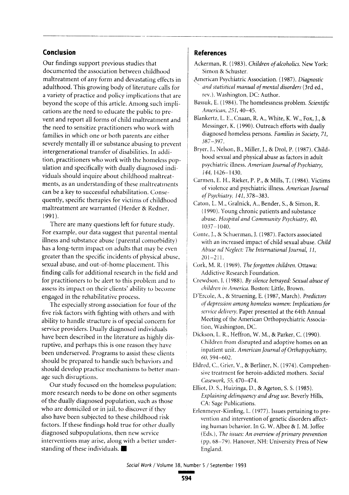## Conclusion

Our findings support previous studies that documented the association between childhood maltreatment of any form and devastating effects in adulthood. This growing body of literature calls for a variety of practice and policy implications that are beyond the scope of this article. Among such implications are the need to educate the public to prevent and report all forms of child maltreatment and the need to sensitize practitioners who work with families in which one or both parents are either severely mentally ill or substance abusing to prevent intergenerational transfer of disabilities. In addition, practitioners who work with the homeless population and specifically with dually diagnosed individuals should inquire about childhood maltreatments, as an understanding of these maltreatments can be a key to successful rehabilitation. Consequently, specific therapies for victims of childhood maltreatment are warranted (Herder & Redner, 1991).

There are many questions left for future study. For example, our data suggest that parental mental illness and substance abuse (parental comorbidity) has a long-term impact on adults that may be even greater than the specific incidents of physical abuse, sexual abuse, and out-of-home placement. This finding calls for additional research in the field and for practitioners to be alert to this problem and to assess its impact on their clients' ability to become engaged in the rehabilitative process.

The especially strong association for four of the five risk factors with fighting with others and with ability to handle structure is of special concern for service providers. Dually diagnosed individuals have been described in the literature as highly disruptive, and perhaps this is one reason they have been underserved. Programs to assist these clients should be prepared to handle such behaviors and should develop practice mechanisms to better manage such disruptions.

Our study focused on the homeless population; more research needs to be done on other segments of the dually diagnosed population, such as those who are domiciled or in jail, to discover if they also have been subjected to these childhood risk factors. If these findings hold true for other dually diagnosed subpopulations, then new service interventions may arise, along with a better understanding of these individuals.

#### **References**

- Ackerman, R. (1983). Children of alcoholics. New York: Simon & Schuster.
- American Psychiatric Association. (1987). Diagnostic and statistical manual of mental disorders (3rd ed., rev.). Washington, DC: Author.
- Bassuk, E. (1984). The homelessness problem. Scientific American, 251, 40-45.
- Blankertz, L. E., Cnaan, R. A., White, K. W., Fox, J., & Messinger, K. (1990). Outreach efforts with dually diagnosed homeless persons. Families in Society, 71,  $387 - 397$
- Bryer, J., Nelson, B., Miller, J., & Drol, P. (1987). Childhood sexual and physical abuse as factors in adult psychiatric illness. American Journal of Psychiatry, 144, 1426-1430.
- Carmen, E. H., Rieker, P. P., & Mills, T. (1984). Victims of violence and psychiatric illness. American Journal of Psychiatry, 141, 378-383.
- Caton, L. M., Gralnick, A., Bender, S., & Simon, R. (1990). Young chronic patients and substance abuse. Hospital and Community Psychiatry, 40,  $1037 - 1040.$
- Conte, J., & Schuerman, J. (1987). Factors associated with an increased impact of child sexual abuse. Child Abuse nd Neglect: The International Journal, 11,  $201 - 211$ .
- Cork, M. R. (1969). The forgotten children. Ottawa: Addictive Research Foundation.
- Crewdson, J. (1988). By silence betrayed: Sexual abuse of children in America. Boston: Little, Brown.
- D'Ercole, A., & Struening, E. (1987, March). Predictors of depression among homeless women: Implications for service delivery. Paper presented at the 64th Annual Meeting of the American Orthopsychiatric Association, Washington, DC.
- Dickson, L. R., Heffron, W. M., & Parker, C. (1990). Children from disrupted and adoptive homes on an inpatient unit. American Journal of Orthopsychiatry,  $60, 594 - 602.$
- Eldred, C., Grier, V., & Berliner, N. (1974). Comprehensive treatment for heroin-addicted mothers. Social Casework, 55, 470-474.
- Elliot, D. S., Huizinga, D., & Ageton, S. S. (1985). Explaining delinquency and drug use. Beverly Hills, CA: Sage Publications.
- Erlenmeyer-Kimling, L. (1977). Issues pertaining to prevention and intervention of genetic disorders affecting human behavior. In G. W. Albee & J. M. Joffee (Eds.), The issues: An overview of primary prevention (pp. 68-79). Hanover, NH: University Press of New England.

Social Work / Volume 38, Number 5 / September 1993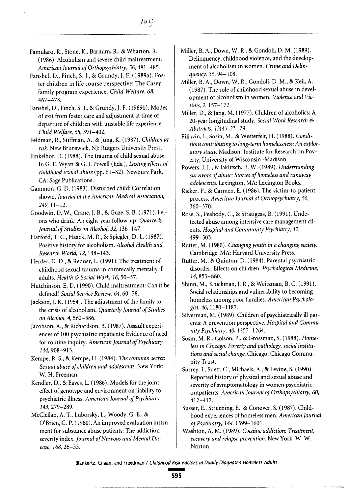Famularo, R., Stone, K., Barnum, R., & Wharton, R. (1986). Alcoholism and severe child maltreatment. American Journal of Orthopsychiatry, 56, 481-485.

Fanshel, D., Finch, S. J., & Grundy, J. F. (1989a). Foster children in life course perspective: The Casey family program experience. Child Welfare, 68,  $467 - 478$ .

Fanshel, D., Finch, S. J., & Grundy, J. F. (1989b). Modes of exit from foster care and adjustment at time of departure of children with unstable life experience. Child Welfare, 68, 391-402.

Feldman, R., Stiffman, A., & Jung, K. (1987). Children at risk. New Brunswick, NJ: Rutgers University Press.

Finkelhor, D. (1988). The trauma of child sexual abuse. In G. E. Wyatt & G. J. Powell (Eds.), Lasting effects of childhood sexual abuse (pp. 61-82). Newbury Park, CA: Sage Publications.

Gammon, G. D. (1983). Disturbed child: Correlation shown. Journal of the American Medical Association,  $249.11 - 12.$ 

Goodwin, D. W., Crane, J. B., & Guze, S. B. (1971). Felons who drink: An eight-year follow-up. Quarterly Iournal of Studies on Alcohol, 32, 136-147.

Harford, T. C., Haack, M. R., & Spiegler, D. L. (1987). Positive history for alcoholism. Alcohol Health and Research World, 12, 138-143.

Herder, D. D., & Redner, L. (1991). The treatment of childhood sexual trauma in chronically mentally ill adults. Health & Social Work, 16, 50-57.

Hutchinson, E. D. (1990). Child maltreatment: Can it be defined? Social Service Review, 64, 60-78.

Jackson, J. K. (1954). The adjustment of the family to the crisis of alcoholism. Quarterly Journal of Studies on Alcohol, 4, 562-586.

Jacobson, A., & Richardson, B. (1987). Assault experiences of 100 psychiatric inpatients: Evidence of need for routine inquiry. American Journal of Psychiatry, 144, 908-913.

Kempe, R. S., & Kempe, H. (1984). The common secret: Sexual abuse of children and adolescents. New York: W. H. Freeman.

Kendler, D., & Eaves, L. (1986). Models for the joint effect of genotype and environment on liability to psychiatric illness. American Journal of Psychiatry, 143, 279-289.

McClellan, A. T., Luborsky, L., Woody, G. E., & O'Brien, C. P. (1980). An improved evaluation instrument for substance abuse patients: The addiction severity index. Journal of Nervous and Mental Disease, 168, 26-33.

- Miller, B. A., Down, W. R., & Gondoli, D. M. (1989). Delinquency, childhood violence, and the development of alcoholism in women. Crime and Delinauency, 35, 94-108.
- Miller, B. A., Down, W. R., Gondoli, D. M., & Keil. A. (1987). The role of childhood sexual abuse in development of alcoholism in women. Violence and Victims, 2, 157-172.

Miller, D., & Jang, M. (1977). Children of alcoholics: A 20-year longitudinal study. Social Work Research & Abstracts, 13(4), 23-29.

Piliavin, I., Sosin, M., & Westerfelt, H. (1988). Conditions contributing to long-term homelessness: An exploratory study. Madison: Institute for Research on Poverty, University of Wisconsin-Madison.

Powers, J. L., & Jaklitsch, B. W. (1989). Understanding survivors of abuse: Stories of homeless and runaway adolescents. Lexington, MA: Lexington Books.

Rieker, P., & Carmen, E. (1986). The victim-to-patient process. American Journal of Orthopsychiatry, 56,  $360 - 370.$ 

Rose, S., Peabody, C., & Stratigeas, B. (1991). Undetected abuse among intensive care management clients. Hospital and Community Psychiatry, 42, 499-503.

Rutter, M. (1980). Changing youth in a changing society. Cambridge, MA: Harvard University Press.

Rutter, M., & Quinton, D. (1984). Parental psychiatric disorder: Effects on children. Psychological Medicine, 14, 853-880.

Shinn, M., Knickman, J. R., & Weitzman, B. C. (1991). Social relationships and vulnerability to becoming homeless among poor families. American Psychologist, 46, 1180-1187.

Silverman, M. (1989). Children of psychiatrically ill parents: A prevention perspective. Hospital and Community Psychiatry, 40, 1257-1264.

Sosin, M. R., Colson, P., & Grossman, S. (1988). Homeless in Chicago: Poverty and pathology, social institutions and social change. Chicago: Chicago Community Trust.

Surrey, J., Suett, C., Michaels, A., & Levine, S. (1990). Reported history of physical and sexual abuse and severity of symptomatology in women psychiatric outpatients. American Journal of Orthopsychiatry, 60,  $412 - 417$ .

Susser, E., Struening, E., & Conover, S. (1987). Childhood experiences of homeless men. American Journal of Psychiatry, 144, 1599-1601.

Washton, A. M. (1989). Cocaine addiction: Treatment, recovery and relapse prevention. New York: W. W. Norton.

Blankertz, Cnaan, and Freedman / Childhood Risk Factors in Dually Diagnosed Homeless Adults